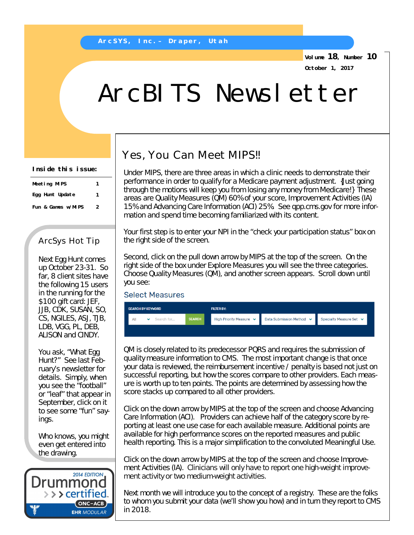**Volume 18, Number 10 October 1, 2017**

# ArcBITS Newsletter

**Inside this issue:**

| Meeting MIPS       | 1 |
|--------------------|---|
| Egg Hunt Update    | 1 |
| Fun & Games w/MIPS | 2 |

### ArcSys Hot Tip

Next Egg Hunt comes up October 23-31. So far, 8 client sites have the following 15 users in the running for the \$100 gift card: JEF, JJB, CDK, SUSAN, SO, CS, NGILES, ASJ, TJB, LDB, VGG, PL, DEB, ALISON and CINDY.

You ask, "What Egg Hunt?" See last February's newsletter for details. Simply, when you see the "football" or "leaf" that appear in September, click on it to see some "fun" sayings.

Who knows, you might even get entered into the drawing.



## Yes, You Can Meet MIPS!!

Under MIPS, there are three areas in which a clinic needs to demonstrate their performance in order to qualify for a Medicare payment adjustment. {Just going through the motions will keep you from losing any money from Medicare!} These areas are Quality Measures (QM) 60% of your score, Improvement Activities (IA) 15% and Advancing Care Information (ACI) 25%. See qpp.cms.gov for more information and spend time becoming familiarized with its content.

Your first step is to enter your NPI in the "check your participation status" box on the right side of the screen.

Second, click on the pull down arrow by MIPS at the top of the screen. On the right side of the box under Explore Measures you will see the three categories. Choose Quality Measures (QM), and another screen appears. Scroll down until you see:

#### **Select Measures**



QM is closely related to its predecessor PQRS and requires the submission of quality measure information to CMS. The most important change is that once your data is reviewed, the reimbursement incentive / penalty is based not just on successful reporting, but how the scores compare to other providers. Each measure is worth up to ten points. The points are determined by assessing how the score stacks up compared to all other providers.

Click on the down arrow by MIPS at the top of the screen and choose Advancing Care Information (ACI). Providers can achieve half of the category score by reporting at least one use case for each available measure. Additional points are available for high performance scores on the reported measures and public health reporting. This is a major simplification to the convoluted Meaningful Use.

Click on the down arrow by MIPS at the top of the screen and choose Improvement Activities (IA). Clinicians will only have to report one high-weight improvement activity or two medium-weight activities.

Next month we will introduce you to the concept of a registry. These are the folks to whom you submit your data (we'll show you how) and in turn they report to CMS in 2018.